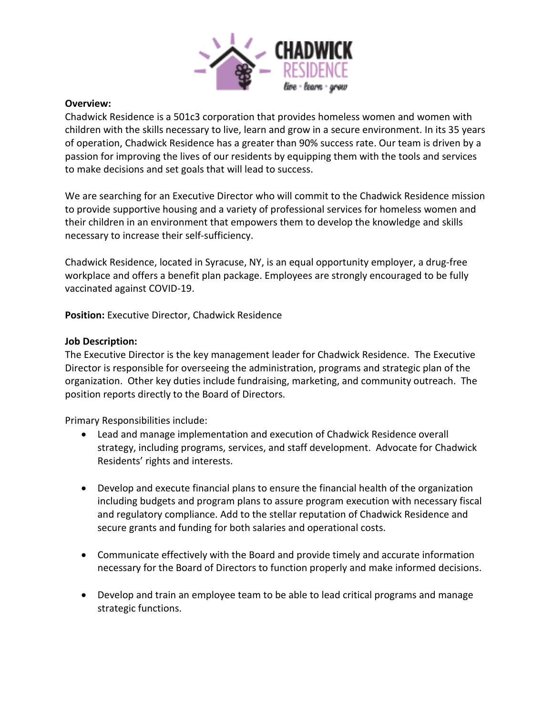

## **Overview:**

Chadwick Residence is a 501c3 corporation that provides homeless women and women with children with the skills necessary to live, learn and grow in a secure environment. In its 35 years of operation, Chadwick Residence has a greater than 90% success rate. Our team is driven by a passion for improving the lives of our residents by equipping them with the tools and services to make decisions and set goals that will lead to success.

We are searching for an Executive Director who will commit to the Chadwick Residence mission to provide supportive housing and a variety of professional services for homeless women and their children in an environment that empowers them to develop the knowledge and skills necessary to increase their self-sufficiency.

Chadwick Residence, located in Syracuse, NY, is an equal opportunity employer, a drug-free workplace and offers a benefit plan package. Employees are strongly encouraged to be fully vaccinated against COVID-19.

**Position:** Executive Director, Chadwick Residence

## **Job Description:**

The Executive Director is the key management leader for Chadwick Residence. The Executive Director is responsible for overseeing the administration, programs and strategic plan of the organization. Other key duties include fundraising, marketing, and community outreach. The position reports directly to the Board of Directors.

Primary Responsibilities include:

- Lead and manage implementation and execution of Chadwick Residence overall strategy, including programs, services, and staff development. Advocate for Chadwick Residents' rights and interests.
- Develop and execute financial plans to ensure the financial health of the organization including budgets and program plans to assure program execution with necessary fiscal and regulatory compliance. Add to the stellar reputation of Chadwick Residence and secure grants and funding for both salaries and operational costs.
- Communicate effectively with the Board and provide timely and accurate information necessary for the Board of Directors to function properly and make informed decisions.
- Develop and train an employee team to be able to lead critical programs and manage strategic functions.